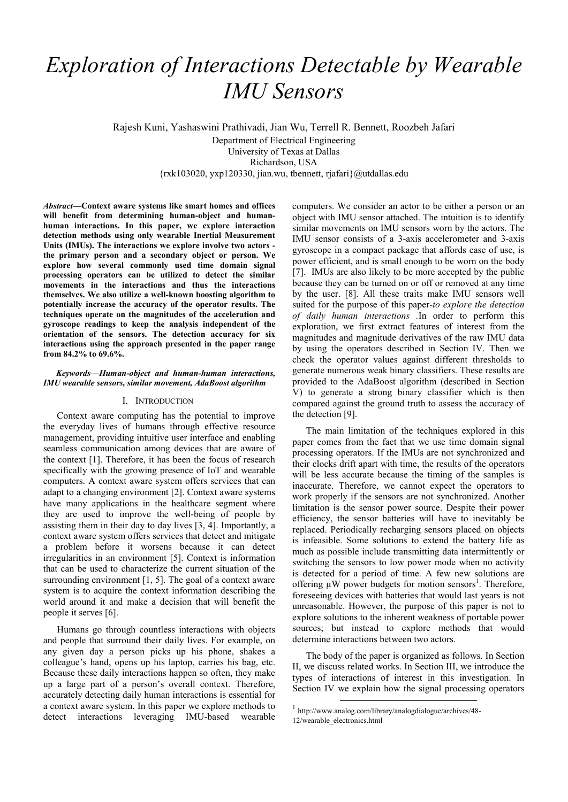# *Exploration of Interactions Detectable by Wearable IMU Sensors*

Rajesh Kuni, Yashaswini Prathivadi, Jian Wu, Terrell R. Bennett, Roozbeh Jafari

Department of Electrical Engineering University of Texas at Dallas

Richardson, USA

{rxk103020, yxp120330, jian.wu, tbennett, rjafari}@utdallas.edu

*Abstract***—Context aware systems like smart homes and offices will benefit from determining human-object and humanhuman interactions. In this paper, we explore interaction detection methods using only wearable Inertial Measurement Units (IMUs). The interactions we explore involve two actors the primary person and a secondary object or person. We explore how several commonly used time domain signal processing operators can be utilized to detect the similar movements in the interactions and thus the interactions themselves. We also utilize a well-known boosting algorithm to potentially increase the accuracy of the operator results. The techniques operate on the magnitudes of the acceleration and gyroscope readings to keep the analysis independent of the orientation of the sensors. The detection accuracy for six interactions using the approach presented in the paper range from 84.2% to 69.6%.** 

#### *Keywords—Human-object and human-human interactions, IMU wearable sensors, similar movement, AdaBoost algorithm*

## I. INTRODUCTION

Context aware computing has the potential to improve the everyday lives of humans through effective resource management, providing intuitive user interface and enabling seamless communication among devices that are aware of the context [1]. Therefore, it has been the focus of research specifically with the growing presence of IoT and wearable computers. A context aware system offers services that can adapt to a changing environment [2]. Context aware systems have many applications in the healthcare segment where they are used to improve the well-being of people by assisting them in their day to day lives [3, 4]. Importantly, a context aware system offers services that detect and mitigate a problem before it worsens because it can detect irregularities in an environment [5]. Context is information that can be used to characterize the current situation of the surrounding environment [1, 5]. The goal of a context aware system is to acquire the context information describing the world around it and make a decision that will benefit the people it serves [6].

Humans go through countless interactions with objects and people that surround their daily lives. For example, on any given day a person picks up his phone, shakes a colleague's hand, opens up his laptop, carries his bag, etc. Because these daily interactions happen so often, they make up a large part of a person's overall context. Therefore, accurately detecting daily human interactions is essential for a context aware system. In this paper we explore methods to detect interactions leveraging IMU-based wearable computers. We consider an actor to be either a person or an object with IMU sensor attached. The intuition is to identify similar movements on IMU sensors worn by the actors. The IMU sensor consists of a 3-axis accelerometer and 3-axis gyroscope in a compact package that affords ease of use, is power efficient, and is small enough to be worn on the body [7]. IMUs are also likely to be more accepted by the public because they can be turned on or off or removed at any time by the user. [8]. All these traits make IMU sensors well suited for the purpose of this paper-*to explore the detection of daily human interactions .*In order to perform this exploration, we first extract features of interest from the magnitudes and magnitude derivatives of the raw IMU data by using the operators described in Section IV. Then we check the operator values against different thresholds to generate numerous weak binary classifiers. These results are provided to the AdaBoost algorithm (described in Section V) to generate a strong binary classifier which is then compared against the ground truth to assess the accuracy of the detection [9].

The main limitation of the techniques explored in this paper comes from the fact that we use time domain signal processing operators. If the IMUs are not synchronized and their clocks drift apart with time, the results of the operators will be less accurate because the timing of the samples is inaccurate. Therefore, we cannot expect the operators to work properly if the sensors are not synchronized. Another limitation is the sensor power source. Despite their power efficiency, the sensor batteries will have to inevitably be replaced. Periodically recharging sensors placed on objects is infeasible. Some solutions to extend the battery life as much as possible include transmitting data intermittently or switching the sensors to low power mode when no activity is detected for a period of time. A few new solutions are offering  $\mu$ W power budgets for motion sensors<sup>1</sup>. Therefore, foreseeing devices with batteries that would last years is not unreasonable. However, the purpose of this paper is not to explore solutions to the inherent weakness of portable power sources; but instead to explore methods that would determine interactions between two actors.

The body of the paper is organized as follows. In Section II, we discuss related works. In Section III, we introduce the types of interactions of interest in this investigation. In Section IV we explain how the signal processing operators

 <sup>1</sup> http://www.analog.com/library/analogdialogue/archives/48- 12/wearable\_electronics.html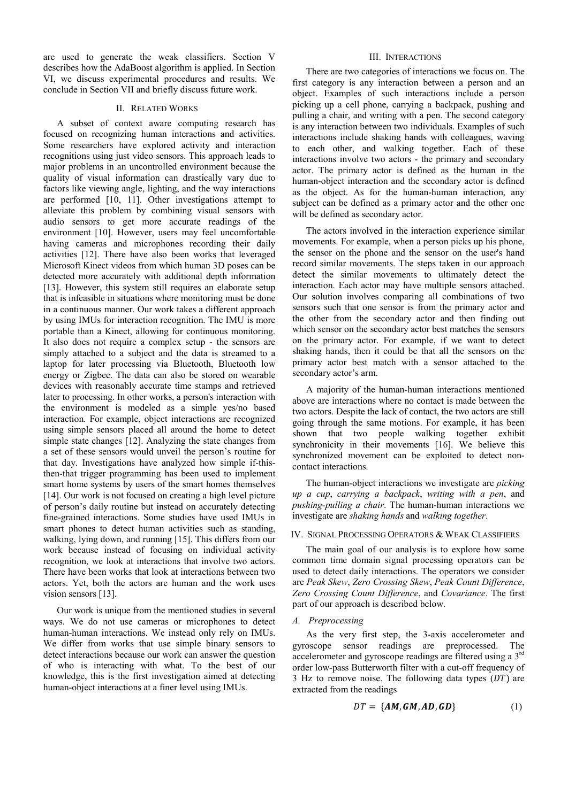are used to generate the weak classifiers. Section V describes how the AdaBoost algorithm is applied. In Section VI, we discuss experimental procedures and results. We conclude in Section VII and briefly discuss future work.

## II. RELATED WORKS

A subset of context aware computing research has focused on recognizing human interactions and activities. Some researchers have explored activity and interaction recognitions using just video sensors. This approach leads to major problems in an uncontrolled environment because the quality of visual information can drastically vary due to factors like viewing angle, lighting, and the way interactions are performed [10, 11]. Other investigations attempt to alleviate this problem by combining visual sensors with audio sensors to get more accurate readings of the environment [10]. However, users may feel uncomfortable having cameras and microphones recording their daily activities [12]. There have also been works that leveraged Microsoft Kinect videos from which human 3D poses can be detected more accurately with additional depth information [13]. However, this system still requires an elaborate setup that is infeasible in situations where monitoring must be done in a continuous manner. Our work takes a different approach by using IMUs for interaction recognition. The IMU is more portable than a Kinect, allowing for continuous monitoring. It also does not require a complex setup - the sensors are simply attached to a subject and the data is streamed to a laptop for later processing via Bluetooth, Bluetooth low energy or Zigbee. The data can also be stored on wearable devices with reasonably accurate time stamps and retrieved later to processing. In other works, a person's interaction with the environment is modeled as a simple yes/no based interaction. For example, object interactions are recognized using simple sensors placed all around the home to detect simple state changes [12]. Analyzing the state changes from a set of these sensors would unveil the person's routine for that day. Investigations have analyzed how simple if-thisthen-that trigger programming has been used to implement smart home systems by users of the smart homes themselves [14]. Our work is not focused on creating a high level picture of person's daily routine but instead on accurately detecting fine-grained interactions. Some studies have used IMUs in smart phones to detect human activities such as standing, walking, lying down, and running [15]. This differs from our work because instead of focusing on individual activity recognition, we look at interactions that involve two actors. There have been works that look at interactions between two actors. Yet, both the actors are human and the work uses vision sensors [13].

Our work is unique from the mentioned studies in several ways. We do not use cameras or microphones to detect human-human interactions. We instead only rely on IMUs. We differ from works that use simple binary sensors to detect interactions because our work can answer the question of who is interacting with what. To the best of our knowledge, this is the first investigation aimed at detecting human-object interactions at a finer level using IMUs.

## III. INTERACTIONS

There are two categories of interactions we focus on. The first category is any interaction between a person and an object. Examples of such interactions include a person picking up a cell phone, carrying a backpack, pushing and pulling a chair, and writing with a pen. The second category is any interaction between two individuals. Examples of such interactions include shaking hands with colleagues, waving to each other, and walking together. Each of these interactions involve two actors - the primary and secondary actor. The primary actor is defined as the human in the human-object interaction and the secondary actor is defined as the object. As for the human-human interaction, any subject can be defined as a primary actor and the other one will be defined as secondary actor.

The actors involved in the interaction experience similar movements. For example, when a person picks up his phone, the sensor on the phone and the sensor on the user's hand record similar movements. The steps taken in our approach detect the similar movements to ultimately detect the interaction. Each actor may have multiple sensors attached. Our solution involves comparing all combinations of two sensors such that one sensor is from the primary actor and the other from the secondary actor and then finding out which sensor on the secondary actor best matches the sensors on the primary actor. For example, if we want to detect shaking hands, then it could be that all the sensors on the primary actor best match with a sensor attached to the secondary actor's arm.

A majority of the human-human interactions mentioned above are interactions where no contact is made between the two actors. Despite the lack of contact, the two actors are still going through the same motions. For example, it has been shown that two people walking together exhibit synchronicity in their movements [16]. We believe this synchronized movement can be exploited to detect noncontact interactions.

The human-object interactions we investigate are *picking up a cup*, *carrying a backpack*, *writing with a pen*, and *pushing-pulling a chair*. The human-human interactions we investigate are *shaking hands* and *walking together*.

#### IV. SIGNAL PROCESSING OPERATORS & WEAK CLASSIFIERS

The main goal of our analysis is to explore how some common time domain signal processing operators can be used to detect daily interactions. The operators we consider are *Peak Skew*, *Zero Crossing Skew*, *Peak Count Difference*, *Zero Crossing Count Difference*, and *Covariance*. The first part of our approach is described below.

## *A. Preprocessing*

As the very first step, the 3-axis accelerometer and gyroscope sensor readings are preprocessed. The accelerometer and gyroscope readings are filtered using a 3rd order low-pass Butterworth filter with a cut-off frequency of 3 Hz to remove noise. The following data types  $(DT)$  are extracted from the readings

$$
DT = \{AM, GM, AD, GD\} \tag{1}
$$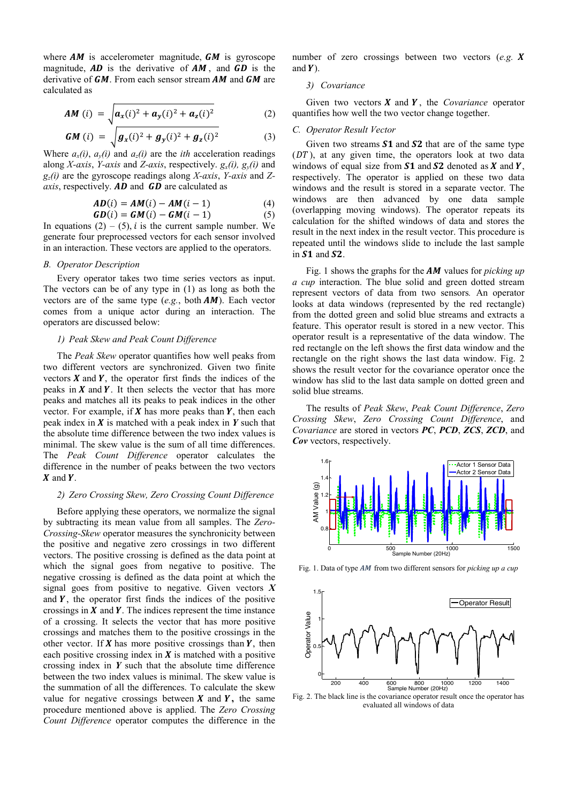where  $AM$  is accelerometer magnitude,  $GM$  is gyroscope magnitude,  $AD$  is the derivative of  $AM$ , and  $GD$  is the derivative of  $GM$ . From each sensor stream  $AM$  and  $GM$  are calculated as

$$
AM (i) = \sqrt{a_x(i)^2 + a_y(i)^2 + a_z(i)^2}
$$
 (2)

**GM** (i) = 
$$
\sqrt{g_x(i)^2 + g_y(i)^2 + g_z(i)^2}
$$
 (3)

Where  $a_x(i)$ ,  $a_y(i)$  and  $a_z(i)$  are the *ith* acceleration readings along *X-axis*, *Y-axis* and *Z-axis*, respectively.  $g_x(i)$ ,  $g_y(i)$  and *gz(i)* are the gyroscope readings along *X-axis*, *Y-axis* and *Zaxis*, respectively.  $AD$  and  $GD$  are calculated as

$$
AD(i) = AM(i) - AM(i-1)
$$
 (4)

$$
GD(i) = GM(i) - GM(i-1)
$$
 (5)

In equations  $(2) - (5)$ , *i* is the current sample number. We generate four preprocessed vectors for each sensor involved in an interaction. These vectors are applied to the operators.

## *B. Operator Description*

Every operator takes two time series vectors as input. The vectors can be of any type in (1) as long as both the vectors are of the same type  $(e.g., both AM)$ . Each vector comes from a unique actor during an interaction. The operators are discussed below:

## *1) Peak Skew and Peak Count Difference*

The *Peak Skew* operator quantifies how well peaks from two different vectors are synchronized. Given two finite vectors  $X$  and  $Y$ , the operator first finds the indices of the peaks in  $X$  and  $Y$ . It then selects the vector that has more peaks and matches all its peaks to peak indices in the other vector. For example, if  $X$  has more peaks than  $Y$ , then each peak index in  $\boldsymbol{X}$  is matched with a peak index in  $\boldsymbol{Y}$  such that the absolute time difference between the two index values is minimal. The skew value is the sum of all time differences. The *Peak Count Difference* operator calculates the difference in the number of peaks between the two vectors  $X$  and  $Y$ .

## *2) Zero Crossing Skew, Zero Crossing Count Difference*

Before applying these operators, we normalize the signal by subtracting its mean value from all samples. The *Zero-Crossing-Skew* operator measures the synchronicity between the positive and negative zero crossings in two different vectors. The positive crossing is defined as the data point at which the signal goes from negative to positive. The negative crossing is defined as the data point at which the signal goes from positive to negative. Given vectors *X* and  $\boldsymbol{Y}$ , the operator first finds the indices of the positive crossings in  $X$  and  $Y$ . The indices represent the time instance of a crossing. It selects the vector that has more positive crossings and matches them to the positive crossings in the other vector. If  $X$  has more positive crossings than  $Y$ , then each positive crossing index in  $\boldsymbol{X}$  is matched with a positive crossing index in *Y* such that the absolute time difference between the two index values is minimal. The skew value is the summation of all the differences. To calculate the skew value for negative crossings between  $X$  and  $Y$ , the same procedure mentioned above is applied. The *Zero Crossing Count Difference* operator computes the difference in the number of zero crossings between two vectors (e.g. X and  $Y$ ).

#### *3) Covariance*

Given two vectors  $X$  and  $Y$ , the *Covariance* operator quantifies how well the two vector change together.

#### *C. Operator Result Vector*

Given two streams  $$1$  and  $$2$  that are of the same type  $(DT)$ , at any given time, the operators look at two data windows of equal size from  $S1$  and  $S2$  denoted as  $X$  and  $Y$ , respectively. The operator is applied on these two data windows and the result is stored in a separate vector. The windows are then advanced by one data sample (overlapping moving windows). The operator repeats its calculation for the shifted windows of data and stores the result in the next index in the result vector. This procedure is repeated until the windows slide to include the last sample in  $S1$  and  $S2$ .

Fig. 1 shows the graphs for the **AM** values for *picking up a cup* interaction. The blue solid and green dotted stream represent vectors of data from two sensors*.* An operator looks at data windows (represented by the red rectangle) from the dotted green and solid blue streams and extracts a feature. This operator result is stored in a new vector. This operator result is a representative of the data window. The red rectangle on the left shows the first data window and the rectangle on the right shows the last data window. Fig. 2 shows the result vector for the covariance operator once the window has slid to the last data sample on dotted green and solid blue streams.

The results of *Peak Skew*, *Peak Count Difference*, *Zero Crossing Skew*, *Zero Crossing Count Difference*, and *Covariance* are stored in vectors *PC*, *PCD*, *ZCS*, *ZCD*, and *Cov* vectors, respectively.



Fig. 1. Data of type AM from two different sensors for *picking up a cup* 



Fig. 2. The black line is the covariance operator result once the operator has evaluated all windows of data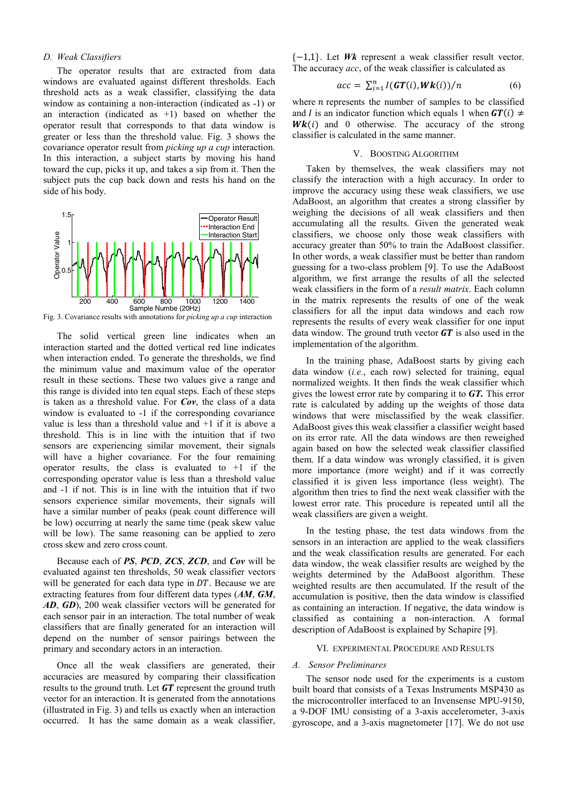# *D. Weak Classifiers*

The operator results that are extracted from data windows are evaluated against different thresholds. Each threshold acts as a weak classifier, classifying the data window as containing a non-interaction (indicated as -1) or an interaction (indicated as  $+1$ ) based on whether the operator result that corresponds to that data window is greater or less than the threshold value. Fig. 3 shows the covariance operator result from *picking up a cup* interaction. In this interaction, a subject starts by moving his hand toward the cup, picks it up, and takes a sip from it. Then the subject puts the cup back down and rests his hand on the side of his body.



Fig. 3. Covariance results with annotations for *picking up a cup* interaction

The solid vertical green line indicates when an interaction started and the dotted vertical red line indicates when interaction ended. To generate the thresholds, we find the minimum value and maximum value of the operator result in these sections. These two values give a range and this range is divided into ten equal steps. Each of these steps is taken as a threshold value. For *Cov*, the class of a data window is evaluated to -1 if the corresponding covariance value is less than a threshold value and  $+1$  if it is above a threshold. This is in line with the intuition that if two sensors are experiencing similar movement, their signals will have a higher covariance. For the four remaining operator results, the class is evaluated to  $+1$  if the corresponding operator value is less than a threshold value and -1 if not. This is in line with the intuition that if two sensors experience similar movements, their signals will have a similar number of peaks (peak count difference will be low) occurring at nearly the same time (peak skew value will be low). The same reasoning can be applied to zero cross skew and zero cross count.

Because each of *PS*, *PCD*, *ZCS*, *ZCD*, and *Cov* will be evaluated against ten thresholds, 50 weak classifier vectors will be generated for each data type in  $DT$ . Because we are extracting features from four different data types (*AM*, *GM*, *AD*, *GD*), 200 weak classifier vectors will be generated for each sensor pair in an interaction. The total number of weak classifiers that are finally generated for an interaction will depend on the number of sensor pairings between the primary and secondary actors in an interaction.

Once all the weak classifiers are generated, their accuracies are measured by comparing their classification results to the ground truth. Let  $GT$  represent the ground truth vector for an interaction. It is generated from the annotations (illustrated in Fig. 3) and tells us exactly when an interaction occurred. It has the same domain as a weak classifier,  $\{-1,1\}$ . Let *Wk* represent a weak classifier result vector. The accuracy *acc*, of the weak classifier is calculated as

$$
acc = \sum_{i=1}^{n} I(GT(i), Wk(i))/n
$$
 (6)

where  $n$  represents the number of samples to be classified and I is an indicator function which equals 1 when  $GT(i) \neq$  $Wk(i)$  and 0 otherwise. The accuracy of the strong classifier is calculated in the same manner.

## V. BOOSTING ALGORITHM

Taken by themselves, the weak classifiers may not classify the interaction with a high accuracy. In order to improve the accuracy using these weak classifiers, we use AdaBoost, an algorithm that creates a strong classifier by weighing the decisions of all weak classifiers and then accumulating all the results. Given the generated weak classifiers, we choose only those weak classifiers with accuracy greater than 50% to train the AdaBoost classifier. In other words, a weak classifier must be better than random guessing for a two-class problem [9]. To use the AdaBoost algorithm, we first arrange the results of all the selected weak classifiers in the form of a *result matrix*. Each column in the matrix represents the results of one of the weak classifiers for all the input data windows and each row represents the results of every weak classifier for one input data window. The ground truth vector  $GT$  is also used in the implementation of the algorithm.

In the training phase, AdaBoost starts by giving each data window (*i.e.*, each row) selected for training, equal normalized weights. It then finds the weak classifier which gives the lowest error rate by comparing it to *GT.* This error rate is calculated by adding up the weights of those data windows that were misclassified by the weak classifier. AdaBoost gives this weak classifier a classifier weight based on its error rate. All the data windows are then reweighed again based on how the selected weak classifier classified them. If a data window was wrongly classified, it is given more importance (more weight) and if it was correctly classified it is given less importance (less weight). The algorithm then tries to find the next weak classifier with the lowest error rate. This procedure is repeated until all the weak classifiers are given a weight.

In the testing phase, the test data windows from the sensors in an interaction are applied to the weak classifiers and the weak classification results are generated. For each data window, the weak classifier results are weighed by the weights determined by the AdaBoost algorithm. These weighted results are then accumulated. If the result of the accumulation is positive, then the data window is classified as containing an interaction. If negative, the data window is classified as containing a non-interaction. A formal description of AdaBoost is explained by Schapire [9].

#### VI. EXPERIMENTAL PROCEDURE AND RESULTS

## *A. Sensor Preliminares*

The sensor node used for the experiments is a custom built board that consists of a Texas Instruments MSP430 as the microcontroller interfaced to an Invensense MPU-9150, a 9-DOF IMU consisting of a 3-axis accelerometer, 3-axis gyroscope, and a 3-axis magnetometer [17]. We do not use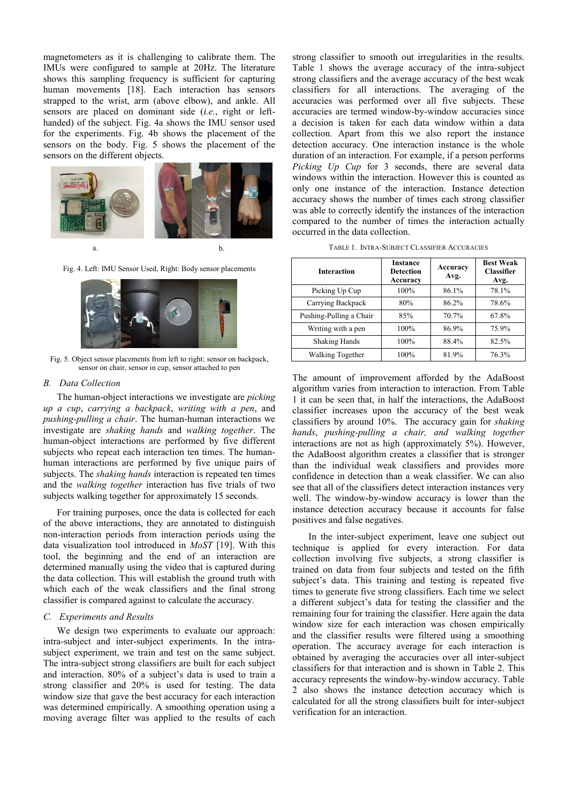magnetometers as it is challenging to calibrate them. The IMUs were configured to sample at 20Hz. The literature shows this sampling frequency is sufficient for capturing human movements [18]. Each interaction has sensors strapped to the wrist, arm (above elbow), and ankle. All sensors are placed on dominant side (*i i.e.*, right or lefthanded) of the subject. Fig. 4a shows the IMU sensor used for the experiments. Fig. 4b shows the placement of the sensors on the body. Fig. 5 shows the placement of the sensors on the different objects.



Fig. 4. Left: IMU Sensor Used, Right: Body sensor placements



Fig. 5. Object sensor placements from left to right: sensor on backpack, sensor on chair, sensor in cup, sensor atta ched to pen

#### *B. Data Collection*

The human-object interactions we investigate are *picking up a cup*, *carrying a backpack*, *writing g with a pen*, and pushing-pulling a chair. The human-human interactions we investigate are *shaking hands* and *walki ing together*. The human-object interactions are performed by five different subjects who repeat each interaction ten times. The humanhuman interactions are performed by five unique pairs of subjects. The *shaking hands* interaction is repeated ten times and the *walking together* interaction has five trials of two subjects walking together for approximately 15 seconds.

For training purposes, once the data is collected for each of the above interactions, they are annotated to distinguish non-interaction periods from interaction periods using the data visualization tool introduced in *MoST* [19]. With this tool, the beginning and the end of an interaction are determined manually using the video that is captured during the data collection. This will establish the ground truth with which each of the weak classifiers and the final strong classifier is compared against to calculate the accuracy.

#### *C. Experiments and Results*

We design two experiments to evaluate our approach: intra-subject and inter-subject experiments. In the intrasubject experiment, we train and test on the same subject. The intra-subject strong classifiers are built for each subject and interaction. 80% of a subject's data is used to train a strong classifier and 20% is used for testing. The data window size that gave the best accuracy for each interaction was determined empirically. A smoothing operation using a moving average filter was applied to th he results of each

strong classifier to smooth out irregularities in the results. Table 1 shows the average a accuracy of the intra-subject strong classifiers and the average accuracy of the best weak classifiers for all interactio ns. The averaging of the accuracies was performed over all five subjects. These accuracies are termed window-by-window accuracies since a decision is taken for each data window within a data collection. Apart from this we also report the instance detection accuracy. One interaction instance is the whole duration of an interaction. For example, if a person performs Picking Up Cup for 3 seconds, there are several data windows within the interaction. However this is counted as only one instance of the interaction. Instance detection accuracy shows the number o f times each strong classifier was able to correctly identify the instances of the interaction compared to the number of times the interaction actually occurred in the data collection.

| <b>Interaction</b>      | <b>Instance</b><br><b>Detection</b><br>Accuracy | Accuracy<br>Avg. | <b>Best Weak</b><br><b>Classifier</b><br>Avg. |
|-------------------------|-------------------------------------------------|------------------|-----------------------------------------------|
| Picking Up Cup          | 100%                                            | 86.1%            | 78.1%                                         |
| Carrying Backpack       | 80%                                             | 86.2%            | 78.6%                                         |
| Pushing-Pulling a Chair | 85%                                             | 70.7%            | 67.8%                                         |
| Writing with a pen      | 100%                                            | 86.9%            | 75.9%                                         |
| <b>Shaking Hands</b>    | 100%                                            | 88.4%            | 82.5%                                         |
| Walking Together        | 100%                                            | 81.9%            | 76.3%                                         |

The amount of improvement afforded by the AdaBoost algorithm varies from interacti on to interaction. From Table 1 it can be seen that, in half th he interactions, the AdaBoost classifier increases upon the accuracy of the best weak classifiers by around 10%. The accuracy gain for *shaking* hands, pushing-pulling a chair, and walking together interactions are not as high (approximately 5%). However, the AdaBoost algorithm creates a classifier that is stronger than the individual weak classifiers and provides more confidence in detection than a weak classifier. We can also see that all of the classifiers detect interaction instances very well. The window-by-window accuracy is lower than the instance detection accuracy b because it accounts for false positives and false negatives.

In the inter-subject experiment, leave one subject out technique is applied for e every interaction. For data collection involving five subjects, a strong classifier is trained on data from four subjects and tested on the fifth subject's data. This training and testing is repeated five times to generate five strong classifiers. Each time we select a different subject's data for testing the classifier and the remaining four for training the classifier. Here again the data window size for each interaction was chosen empirically and the classifier results were e filtered using a smoothing operation. The accuracy average for each interaction is obtained by averaging the accuracies over all inter-subject classifiers for that interaction a and is shown in Table 2. This accuracy represents the window-by-window accuracy. Table 2 also shows the instance d detection accuracy which is calculated for all the strong classifiers built for inter-subject verification for an interaction.